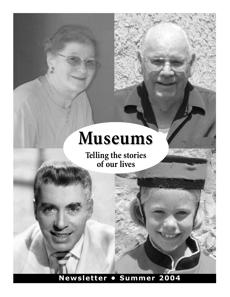# **Museums**

**Telling the stories of our lives**

**Newsletter • Summer 2004**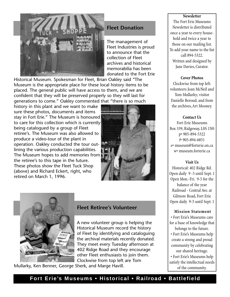

## **Fleet Donation**

The management of Fleet Industries is proud to announce that the collection of Fleet archives and historical memorabilia has been donated to the Fort Erie

Historical Museum. Spokesman for Fleet, Brian Oakley said "The Museum is the appropriate place for these local history items to be placed. The general public will have access to them, and we are confident that they will be preserved properly so they will last for generations to come." Oakley commented that "there is so much

history in this plant and we want to make sure these photos, documents and items stay in Fort Erie." The Museum is honoured to care for this collection which is currently being catalogued by a group of Fleet retiree's. The Museum was also allowed to produce a video-tour of the plant in operation. Oakley conducted the tour outlining the various production capabilities. The Museum hopes to add memories from the retiree's to this tape in the future. These photos show the Fleet Tuck Shop (above) and Richard Eckert, right, who retired on March 1, 1996.





#### **Fleet Retiree's Volunteer**

A new volunteer group is helping the Historical Museum record the history of Fleet by identifying and cataloguing the archival materials recently donated. They meet every Tuesday afternoon at 402 Ridge Road and they encourage other Fleet enthusiasts to join them. Clockwise from top left are Tom

Mullarky, Ken Benner, George Sherk, and Marge Havill.

#### **Newsletter**

The Fort Erie Museums Newsletter is distributed once a year to every household and twice a year to those on our mailing list. To add your name to the list call 894-5322. Written and designed by Jane Davies, Curator.

#### **Cover Photos**

Clockwise from top left: volunteers Joan McNeil and Tom Mullarky; visitor Danielle Beroud; and from the archives, Art Mooney.

#### **Contact Us**

Fort Erie Museums Box 339, Ridgeway, L0S 1N0 p• 905-894-5322 f• 905-894-6851 e• museum@forterie.on.ca w• museum.forterie.ca

#### **Visit Us**

Historical: 402 Ridge Rd. Open daily 9 -5 until Sept. 1 Open Mon.-Fri. 9-5 for the balance of the year Railroad - Central Ave. at Gilmore Road, Fort Erie Open daily 9-5 until Sept. 1

#### **Mission Statement**

• Fort Erie's Museums care for a base of knowledge that

- belongs to the future.
- Fort Erie's Museums help create a strong and proud community by celebrating our shared heritage.

• Fort Erie's Museums help satisfy the intellectual needs of the community.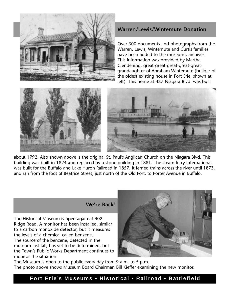

#### **Warren/Lewis/Wintemute Donation**

Over 300 documents and photographs from the Warren, Lewis, Wintemute and Curtis families have been added to the museum's archives. This information was provided by Martha Clendening, great-great-great-great-greatgrandaughter of Abraham Wintemute (builder of the oldest existing house in Fort Erie, shown at left). This home at 487 Niagara Blvd. was built





about 1792. Also shown above is the original St. Paul's Anglican Church on the Niagara Blvd. This building was built in 1824 and replaced by a stone building in 1881. The steam ferry International was built for the Buffalo and Lake Huron Railroad in 1857. It ferried trains across the river until 1873, and ran from the foot of Beatrice Street, just north of the Old Fort, to Porter Avenue in Buffalo.

## **We're Back!**

The Historical Museum is open again at 402 Ridge Road. A monitor has been installed, similar to a carbon monoxide detector, but it measures the levels of a chemical called benzene. The source of the benzene, detected in the museum last fall, has yet to be determined, but the Town's Public Works Department continues to monitor the situation.



The Museum is open to the public every day from 9 a.m. to 5 p.m. The photo above shows Museum Board Chairman Bill Kieffer examining the new monitor.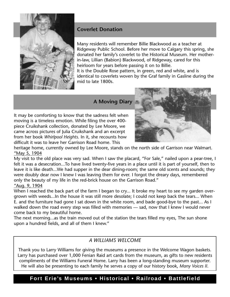

# **Coverlet Donation**

Many residents will remember Billie Blackwood as a teacher at Ridgeway Public School. Before her move to Calgary this spring, she donated her family's coverlet to the Historical Museum. Her motherin-law, Lillian (Babion) Blackwood, of Ridgeway, cared for this heirloom for years before passing it on to Billie. It is the Double Rose pattern, in green, red and white, and is

identical to coverlets woven by the Graf family in Gasline during the mid to late 1800s.

# **A Moving Diary**

It may be comforting to know that the sadness felt when moving is a timeless emotion. While filing the over 400 piece Cruikshank collection, donated by Lee Moore, we came across pictures of Julia Cruikshank and an excerpt from her book *Whirlpool Heights*. In it, she recounts how difficult it was to leave her Garrison Road home. This



heritage home, currently owned by Lee Moore, stands on the north side of Garrison near Walmart. "May 5, 1904

My visit to the old place was very sad. When I saw the placard, "For Sale," nailed upon a pear-tree, I felt it was a desecration...To have lived twenty-five years in a place until it is part of yourself, then to leave it is like death...We had supper in the dear dining-room; the same old scents and sounds; they were doubly dear now I knew I was leaving them for ever. I forgot the dreary days, remembered only the beauty of my life in the red-brick house on the Garrison Road." "Aug. 9, 1904

When I reached the back part of the farm I began to cry... It broke my heart to see my garden overgrown with weeds...In the house it was still more desolate; I could not keep back the tears... When E. and the furniture had gone I sat down in the white room, and bade good-bye to the past... As I walked down the road every step was filled with memories — sad, now that I knew I would never come back to my beautiful home.

The next morning...as the train moved out of the station the tears filled my eyes, The sun shone upon a hundred fields, and all of them I knew."

# *A WILLIAMS WELCOME*

Thank you to Larry Williams for giving the museums a presence in the Welcome Wagon baskets. Larry has purchased over 1,000 Fenian Raid art cards from the museum, as gifts to new residents compliments of the Williams Funeral Home. Larry has been a long-standing museum supporter. He will also be presenting to each family he serves a copy of our history book, *Many Voices II*.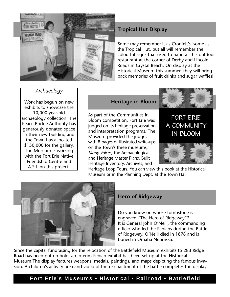

# **Tropical Hut Display**

Some may remember it as Cronfelt's, some as the Tropical Hut, but all will remember the colourful signs that used to hang at this outdoor restaurant at the corner of Derby and Lincoln Roads in Crystal Beach. On display at the Historical Museum this summer, they will bring back memories of fruit drinks and sugar waffles!

#### *Archaeology*

Work has begun on new exhibits to showcase the 10,000 year-old archaeology collection. The Peace Bridge Authority has generously donated space in their new building and the Town has allocated \$150,000 for the gallery. The Museum is working with the Fort Erie Native Friendship Centre and A.S.I. on this project.

# **Heritage in Bloom**

As part of the Communities in Bloom competition, Fort Erie was judged on its heritage preservation and interpretation programs. The Museum provided the judges with 8 pages of illustrated write-ups on the Town's three museums, *Many Voices*, the Archaeological and Heritage Master Plans, Built Heritage Inventory, Archives, and



FORT ERIE A COMMUNITY IN BLOOM



Heritage Loop Tours. You can view this book at the Historical Museum or in the Planning Dept. at the Town Hall.



#### **Hero of Ridgeway**

Do you know on whose tombstone is engraved "The Hero of Ridgeway"? It is General John O'Neill, the commanding officer who led the Fenians during the Battle of Ridgeway. O'Neill died in 1878 and is buried in Omaha Nebraska.

Since the capital fundraising for the relocation of the Battlefield Museum exhibits to 283 Ridge Road has been put on hold, an interim Fenian exhibit has been set up at the Historical Museum.The display features weapons, medals, paintings, and maps depicting the famous invasion. A children's activity area and video of the re-enactment of the battle completes the display.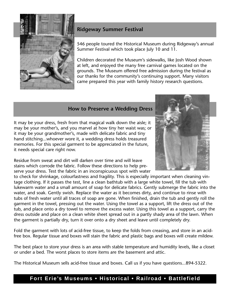

# **Ridgeway Summer Festival**

546 people toured the Historical Museum during Ridgeway's annual Summer Festival which took place July 10 and 11.

Children decorated the Museum's sidewalks, like Josh Wood shown at left, and enjoyed the many free carnival games located on the grounds. The Museum offered free admission during the festival as our thanks for the community's continuing support. Many visitors came prepared this year with family history research questions.

## **How to Preserve a Wedding Dress**

It may be your dress, fresh from that magical walk down the aisle; it may be your mother's, and you marvel at how tiny her waist was; or it may be your grandmother's, made with delicate fabric and tiny hand stitching...whoever wore it, a wedding dress holds treasured memories. For this special garment to be appreciated in the future, it needs special care right now.

Residue from sweat and dirt will darken over time and will leave stains which corrode the fabric. Follow these directions to help preserve your dress. Test the fabric in an inconspicuous spot with water



to check for shrinkage, colourfastness and fragility. This is especially important when cleaning vintage clothing. If it passes the test, line a clean bathtub with a large white towel, fill the tub with lukewarm water and a small amount of soap for delicate fabrics. Gently submerge the fabric into the water, and soak. Gently swish. Replace the water as it becomes dirty, and continue to rinse with tubs of fresh water until all traces of soap are gone. When finished, drain the tub and gently roll the garment in the towel, pressing out the water. Using the towel as a support, lift the dress out of the tub, and place onto a dry towel to remove the excess water. Using this towel as a support, carry the dress outside and place on a clean white sheet spread out in a partly shady area of the lawn. When the garment is partially dry, turn it over onto a dry sheet and leave until completely dry. It may be your dress, fresh from that magical walk down the aisle; it<br>dit may be your mother's, and you marvel at how tiny her waist was; or<br>thand stitching...whovever wore it, a weedding dress holds treasured<br>menories. Fo

Fold the garment with lots of acid-free tissue, to keep the folds from creasing, and store in an acidfree box. Regular tissue and boxes will stain the fabric and plastic bags and boxes will create mildew.

The best place to store your dress is an area with stable temperature and humidity levels, like a closet or under a bed. The worst places to store items are the basement and attic.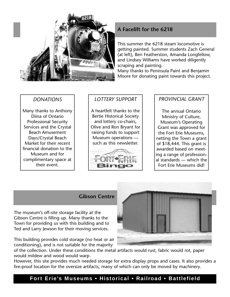

# **A Facelift for the 6218**

This summer the 6218 steam locomotive is getting painted. Summer students Zach General (at left), Ben Featherston, Amanda Longfellow, and Lindsey Williams have worked diligently scraping and painting.

Many thanks to Peninsula Paint and Benjamin Moore for donating paint towards this project.

# *DONATIONS*

Many thanks to Anthony Diina of Ontario Professional Security Services and the Crystal Beach Amusement Days/Crystal Beach Market for their recent financial donation to the Museum and for complimentary space at their event.

# *LOTTERY SUPPORT*

A heartfelt thanks to the Bertie Historical Society and lottery co-chairs, Olive and Ron Bryant for raising funds to support Museum operations such as this newsletter.



## *PROVINCIAL GRANT*

The annual Ontario Ministry of Culture, Museum's Operating Grant was approved for the Fort Erie Museums, netting the Town a grant of \$18,444. This grant is awarded based on meeting a range of professional standards — which the Fort Erie Museums did!

### **Gibson Centre**

The museum's off-site storage facility at the Gibson Centre is filling up. Many thanks to the Town for providing us with this building and to Ted and Larry Jewson for their moving services.

This building provides cold storage (no heat or air conditioning), and is not suitable for the majority

of the collection. Under these conditions the metal artifacts would rust, fabric would rot, paper would mildew and wood would warp.

However, this site provides much needed storage for extra display props and cases. It also provides a fire-proof location for the oversize artifacts, many of which can only be moved by machinery.

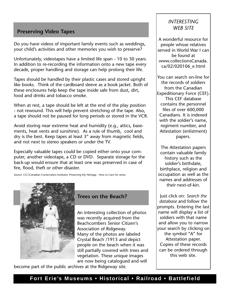# **Preserving Video Tapes**

Do you have videos of important family events such as weddings, your child's activities and other memories you wish to preserve?

Unfortunately, videotapes have a limited life span - 10 to 30 years. In addition to re-recording the information onto a new tape every decade, proper handling and storage can help prolong their life.

Tapes should be handled by their plastic cases and stored upright like books. Think of the cardboard sleeve as a book jacket. Both of these enclosures help keep the tape inside safe from dust, dirt, food and drinks and tobacco smoke.

When at rest, a tape should be left at the end of the play position - not rewound. This will help prevent stretching of the tape. Also, a tape should not be paused for long periods or stored in the VCR.

Avoid storing near extreme heat and humidity (e.g., attics, basements, heat vents and sunshine). As a rule of thumb, cool and dry is the best. Keep tapes at least 3" away from magnetic fields, and not next to stereo speakers or under the TV.

Especially valuable tapes could be copied either onto your computer, another videotape, a CD or DVD. Separate storage for the back-up would ensure that at least one was preserved in case of fire, flood, theft or other disaster.

Source: CCI (Canadian Conservation Institute): Preserving My Heritage - How to Care For series.



## **Trees on the Beach?**

An interesting collection of photos was recently acquired from the Beachcombers Senior Citizen's Association of Ridgeway. Many of the photos are labeled Crystal Beach /1913 and depict people on the beach when it was still partially covered with trees and vegetation. These unique images are now being catalogued and will

become part of the public archives at the Ridgeway site.

# *INTERESTING WEB SITE*

A wonderful resource for people whose relatives served in World War I can be found at www.collectionsCanada. ca/02/020106\_e.html

You can search on-line for the records of soldiers from the Canadian Expeditionary Force (CEF). This CEF database contains the personnel files of over 600,000 Canadians. It is indexed with the soldier's name, regiment number, and Attestation (enlistment) papers.

The Attestation papers contain valuable family history such as the soldier's birthdate, birthplace, religion and occupation as well as the names and addresses of their next-of-kin.

Just click on: *Search the database* and follow the prompts. Entering the last name will display a list of soldiers with that name and allow you to narrow your search by clicking on the symbol "A" for Attestation paper. Copies of these records can be ordered through this web site.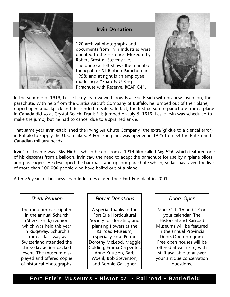

## **Irvin Donation**

120 archival photographs and documents from Irvin Industries were donated to the Historical Museum by Robert Brost of Stevensville. The photo at left shows the manufacturing of a FIST Ribbon Parachute in 1958; and at right is an employee modeling a "Snap & U Ring Parachute with Reserve, RCAF C4".



In the summer of 1919, Leslie Leroy Irvin wowed crowds at Erie Beach with his new invention, the parachute. With help from the Curtiss Aircraft Company of Buffalo, he jumped out of their plane, ripped open a backpack and descended to safety. In fact, the first person to parachute from a plane in Canada did so at Crystal Beach. Frank Ellis jumped on July 5, 1919. Leslie Irvin was scheduled to make the jump, but he had to cancel due to a sprained ankle.

That same year Irvin established the Irving Air Chute Company (the extra 'g' due to a clerical error) in Buffalo to supply the U.S. military. A Fort Erie plant was opened in 1925 to meet the British and Canadian military needs.

Irvin's nickname was "Sky High", which he got from a 1914 film called *Sky High* which featured one of his descents from a balloon. Irvin saw the need to adapt the parachute for use by airplane pilots and passengers. He developed the backpack and ripcord parachute which, so far, has saved the lives of more than 100,000 people who have bailed out of a plane.

After 76 years of business, Irvin Industries closed their Fort Erie plant in 2001.

#### *Sherk Reunion*

The museum participated in the annual Schurch (Sherk, Shirk) reunion which was held this year in Ridgeway. Schurch's from as far away as Switzerland attended the three-day action-packed event. The museum displayed and offered copies of historical photographs.

# *Flower Donations*

A special thanks to the Fort Erie Horticultural Society for donating and planting flowers at the Railroad Museum; especially Rose Petran, Dorothy McLeod, Maggie Golding, Emma Carpenter, Anne Knutson, Barb Woehl, Bob Stevenson, and Bonnie Gallagher.

## *Doors Open*

Mark Oct. 16 and 17 on your calendar. The Historical and Railroad Museums will be featured in the annual Provincial Doors Open program. Free open houses will be offered at each site, with staff available to answer your antique conservation questions.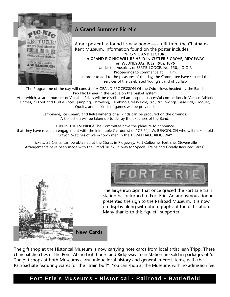

# **A Grand Summer Pic-Nic**

A rare poster has found its way home — a gift from the Chatham-Kent Museum. Information found on the poster includes: "**PIC-NIC AND LECTURE A GRAND PIC-NIC WILL BE HELD IN CUTLER'S GROVE, RIDGEWAY on WEDNESDAY, JULY 19th, 1876** Under the Auspices of BERTIE LODGE, No. 150, I.O.O.F. Proceedings to commence at 11 a.m. In order to add to the pleasures of the day, the Committee have secured the services of the celebrated Young's Band of Buffalo

The Programme of the day will consist of A GRAND PROCESSION Of the Oddfellows headed by the Band. Pic- Nic Dinner in the Grove on the basket system

After which, a large number of Valuable Prizes will be distributed among the successful competitors in Various Athletic Games, as Foot and Hurtle Races, Jumping, Throwing, Climbing Greasy Pole, &c., &c. Swings, Base Ball, Croquet, Quoits, and all kinds of games will be provided.

> Lemonade, Ice Cream, and Refreshments of all kinds can be procured on the grounds. A Collection will be taken up to defray the expenses of the Band.

FUN IN THE EVENING! The Committee have the pleasure to announce

that they have made an engagement with the inimitable Cartoonist of "GRIP", J.W. BENGOUGH who will make rapid Crayon Sketches of well-known men in the TOWN HALL, RIDGEWAY

Tickets, 25 Cents, can be obtained at the Stores in Ridgeway, Port Colborne, Fort Erie, Stevensville Arrangements have been made with the Grand Trunk Railway for Special Trains and Greatly Reduced Fares"



The large iron sign that once graced the Fort Erie train station has returned to Fort Erie. An anonymous donor presented the sign to the Railroad Museum. It is now on display along with photographs of the old station. Many thanks to this "quiet" supporter!



**New Cards**

The gift shop at the Historical Museum is now carrying note cards from local artist Jean Tripp. These charcoal sketches of the Point Abino Lighthouse and Ridgeway Train Station are sold in packages of 5. The gift shops at both Museums carry unique local history and general interest items, with the Railroad site featuring wares for the "train buff". You can shop at the Museums with no admission fee.